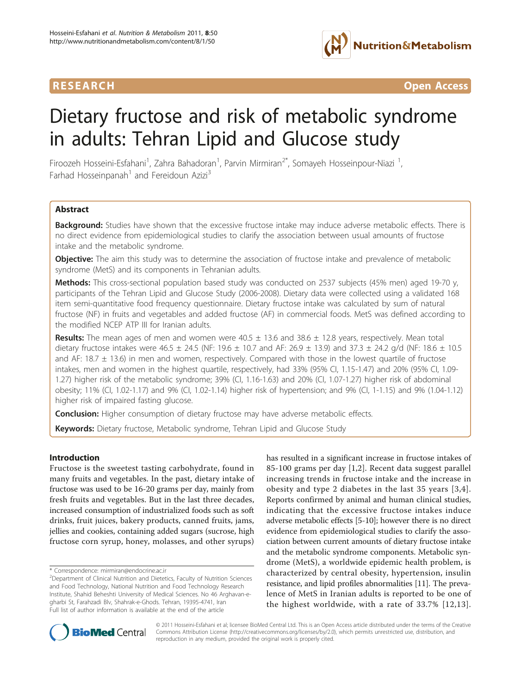# lutrition&Metabolism

**RESEARCH CONTROL** CONTROL CONTROL CONTROL CONTROL CONTROL CONTROL CONTROL CONTROL CONTROL CONTROL CONTROL CONTROL CONTROL CONTROL CONTROL CONTROL CONTROL CONTROL CONTROL CONTROL CONTROL CONTROL CONTROL CONTROL CONTROL CON

## Dietary fructose and risk of metabolic syndrome in adults: Tehran Lipid and Glucose study

Firoozeh Hosseini-Esfahani<sup>1</sup>, Zahra Bahadoran<sup>1</sup>, Parvin Mirmiran<sup>2\*</sup>, Somayeh Hosseinpour-Niazi <sup>1</sup> , Farhad Hosseinpanah<sup>1</sup> and Fereidoun Azizi<sup>3</sup>

### **Abstract**

Background: Studies have shown that the excessive fructose intake may induce adverse metabolic effects. There is no direct evidence from epidemiological studies to clarify the association between usual amounts of fructose intake and the metabolic syndrome.

**Objective:** The aim this study was to determine the association of fructose intake and prevalence of metabolic syndrome (MetS) and its components in Tehranian adults.

Methods: This cross-sectional population based study was conducted on 2537 subjects (45% men) aged 19-70 y, participants of the Tehran Lipid and Glucose Study (2006-2008). Dietary data were collected using a validated 168 item semi-quantitative food frequency questionnaire. Dietary fructose intake was calculated by sum of natural fructose (NF) in fruits and vegetables and added fructose (AF) in commercial foods. MetS was defined according to the modified NCEP ATP III for Iranian adults.

**Results:** The mean ages of men and women were  $40.5 \pm 13.6$  and  $38.6 \pm 12.8$  years, respectively. Mean total dietary fructose intakes were 46.5  $\pm$  24.5 (NF: 19.6  $\pm$  10.7 and AF: 26.9  $\pm$  13.9) and 37.3  $\pm$  24.2 g/d (NF: 18.6  $\pm$  10.5 and AF: 18.7  $\pm$  13.6) in men and women, respectively. Compared with those in the lowest quartile of fructose intakes, men and women in the highest quartile, respectively, had 33% (95% CI, 1.15-1.47) and 20% (95% CI, 1.09- 1.27) higher risk of the metabolic syndrome; 39% (CI, 1.16-1.63) and 20% (CI, 1.07-1.27) higher risk of abdominal obesity; 11% (CI, 1.02-1.17) and 9% (CI, 1.02-1.14) higher risk of hypertension; and 9% (CI, 1-1.15) and 9% (1.04-1.12) higher risk of impaired fasting glucose.

**Conclusion:** Higher consumption of dietary fructose may have adverse metabolic effects.

Keywords: Dietary fructose, Metabolic syndrome, Tehran Lipid and Glucose Study

#### Introduction

Fructose is the sweetest tasting carbohydrate, found in many fruits and vegetables. In the past, dietary intake of fructose was used to be 16-20 grams per day, mainly from fresh fruits and vegetables. But in the last three decades, increased consumption of industrialized foods such as soft drinks, fruit juices, bakery products, canned fruits, jams, jellies and cookies, containing added sugars (sucrose, high fructose corn syrup, honey, molasses, and other syrups)

has resulted in a significant increase in fructose intakes of 85-100 grams per day [[1,2](#page-6-0)]. Recent data suggest parallel increasing trends in fructose intake and the increase in obesity and type 2 diabetes in the last 35 years [[3](#page-6-0),[4\]](#page-6-0). Reports confirmed by animal and human clinical studies, indicating that the excessive fructose intakes induce adverse metabolic effects [\[5-10](#page-6-0)]; however there is no direct evidence from epidemiological studies to clarify the association between current amounts of dietary fructose intake and the metabolic syndrome components. Metabolic syndrome (MetS), a worldwide epidemic health problem, is characterized by central obesity, hypertension, insulin resistance, and lipid profiles abnormalities [\[11\]](#page-7-0). The prevalence of MetS in Iranian adults is reported to be one of the highest worldwide, with a rate of 33.7% [[12,13\]](#page-7-0).



© 2011 Hosseini-Esfahani et al; licensee BioMed Central Ltd. This is an Open Access article distributed under the terms of the Creative Commons Attribution License [\(http://creativecommons.org/licenses/by/2.0](http://creativecommons.org/licenses/by/2.0)), which permits unrestricted use, distribution, and reproduction in any medium, provided the original work is properly cited.

<sup>\*</sup> Correspondence: [mirmiran@endocrine.ac.ir](mailto:mirmiran@endocrine.ac.ir)

<sup>&</sup>lt;sup>2</sup>Department of Clinical Nutrition and Dietetics, Faculty of Nutrition Sciences and Food Technology, National Nutrition and Food Technology Research Institute, Shahid Beheshti University of Medical Sciences. No 46 Arghavan-egharbi St, Farahzadi Blv, Shahrak-e-Ghods. Tehran, 19395-4741, Iran Full list of author information is available at the end of the article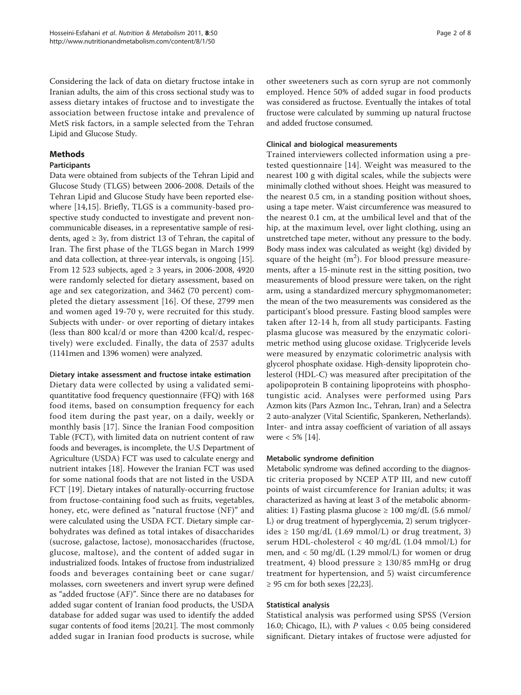Considering the lack of data on dietary fructose intake in Iranian adults, the aim of this cross sectional study was to assess dietary intakes of fructose and to investigate the association between fructose intake and prevalence of MetS risk factors, in a sample selected from the Tehran Lipid and Glucose Study.

#### Methods

#### Participants

Data were obtained from subjects of the Tehran Lipid and Glucose Study (TLGS) between 2006-2008. Details of the Tehran Lipid and Glucose Study have been reported elsewhere [[14,15](#page-7-0)]. Briefly, TLGS is a community-based prospective study conducted to investigate and prevent noncommunicable diseases, in a representative sample of residents, aged  $\geq$  3y, from district 13 of Tehran, the capital of Iran. The first phase of the TLGS began in March 1999 and data collection, at three-year intervals, is ongoing [[15](#page-7-0)]. From 12 523 subjects, aged ≥ 3 years, in 2006-2008, 4920 were randomly selected for dietary assessment, based on age and sex categorization, and 3462 (70 percent) completed the dietary assessment [\[16](#page-7-0)]. Of these, 2799 men and women aged 19-70 y, were recruited for this study. Subjects with under- or over reporting of dietary intakes (less than 800 kcal/d or more than 4200 kcal/d, respectively) were excluded. Finally, the data of 2537 adults (1141men and 1396 women) were analyzed.

#### Dietary intake assessment and fructose intake estimation

Dietary data were collected by using a validated semiquantitative food frequency questionnaire (FFQ) with 168 food items, based on consumption frequency for each food item during the past year, on a daily, weekly or monthly basis [\[17](#page-7-0)]. Since the Iranian Food composition Table (FCT), with limited data on nutrient content of raw foods and beverages, is incomplete, the U.S Department of Agriculture (USDA) FCT was used to calculate energy and nutrient intakes [[18](#page-7-0)]. However the Iranian FCT was used for some national foods that are not listed in the USDA FCT [\[19](#page-7-0)]. Dietary intakes of naturally-occurring fructose from fructose-containing food such as fruits, vegetables, honey, etc, were defined as "natural fructose (NF)" and were calculated using the USDA FCT. Dietary simple carbohydrates was defined as total intakes of disaccharides (sucrose, galactose, lactose), monosaccharides (fructose, glucose, maltose), and the content of added sugar in industrialized foods. Intakes of fructose from industrialized foods and beverages containing beet or cane sugar/ molasses, corn sweeteners and invert syrup were defined as "added fructose (AF)". Since there are no databases for added sugar content of Iranian food products, the USDA database for added sugar was used to identify the added sugar contents of food items [\[20,21](#page-7-0)]. The most commonly added sugar in Iranian food products is sucrose, while other sweeteners such as corn syrup are not commonly employed. Hence 50% of added sugar in food products was considered as fructose. Eventually the intakes of total fructose were calculated by summing up natural fructose and added fructose consumed.

#### Clinical and biological measurements

Trained interviewers collected information using a pretested questionnaire [[14\]](#page-7-0). Weight was measured to the nearest 100 g with digital scales, while the subjects were minimally clothed without shoes. Height was measured to the nearest 0.5 cm, in a standing position without shoes, using a tape meter. Waist circumference was measured to the nearest 0.1 cm, at the umbilical level and that of the hip, at the maximum level, over light clothing, using an unstretched tape meter, without any pressure to the body. Body mass index was calculated as weight (kg) divided by square of the height  $(m^2)$ . For blood pressure measurements, after a 15-minute rest in the sitting position, two measurements of blood pressure were taken, on the right arm, using a standardized mercury sphygmomanometer; the mean of the two measurements was considered as the participant's blood pressure. Fasting blood samples were taken after 12-14 h, from all study participants. Fasting plasma glucose was measured by the enzymatic colorimetric method using glucose oxidase. Triglyceride levels were measured by enzymatic colorimetric analysis with glycerol phosphate oxidase. High-density lipoprotein cholesterol (HDL-C) was measured after precipitation of the apolipoprotein B containing lipoproteins with phosphotungistic acid. Analyses were performed using Pars Azmon kits (Pars Azmon Inc., Tehran, Iran) and a Selectra 2 auto-analyzer (Vital Scientific, Spankeren, Netherlands). Inter- and intra assay coefficient of variation of all assays were  $< 5\%$  [\[14](#page-7-0)].

#### Metabolic syndrome definition

Metabolic syndrome was defined according to the diagnostic criteria proposed by NCEP ATP III, and new cutoff points of waist circumference for Iranian adults; it was characterized as having at least 3 of the metabolic abnormalities: 1) Fasting plasma glucose  $\geq 100$  mg/dL (5.6 mmol/ L) or drug treatment of hyperglycemia, 2) serum triglycerides ≥ 150 mg/dL (1.69 mmol/L) or drug treatment, 3) serum HDL-cholesterol < 40 mg/dL (1.04 mmol/L) for men, and < 50 mg/dL (1.29 mmol/L) for women or drug treatment, 4) blood pressure  $\geq 130/85$  mmHg or drug treatment for hypertension, and 5) waist circumference  $\geq$  95 cm for both sexes [[22,23](#page-7-0)].

#### Statistical analysis

Statistical analysis was performed using SPSS (Version 16.0; Chicago, IL), with  $P$  values < 0.05 being considered significant. Dietary intakes of fructose were adjusted for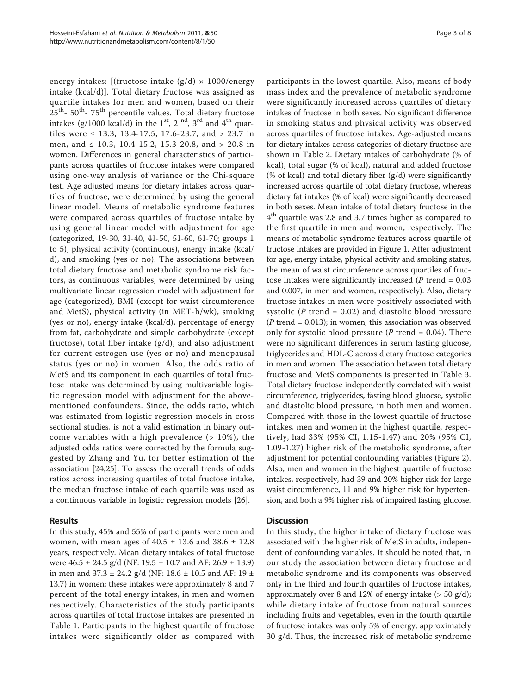energy intakes: [(fructose intake  $(g/d) \times 1000$ /energy intake (kcal/d)]. Total dietary fructose was assigned as quartile intakes for men and women, based on their  $25<sup>th</sup>$ - 50<sup>th</sup>- 75<sup>th</sup> percentile values. Total dietary fructose intakes (g/1000 kcal/d) in the  $1<sup>st</sup>$ ,  $2<sup>nd</sup>$ ,  $3<sup>rd</sup>$  and  $4<sup>th</sup>$  quartiles were  $\leq$  13.3, 13.4-17.5, 17.6-23.7, and  $>$  23.7 in men, and  $\leq 10.3$ , 10.4-15.2, 15.3-20.8, and  $> 20.8$  in women. Differences in general characteristics of participants across quartiles of fructose intakes were compared using one-way analysis of variance or the Chi-square test. Age adjusted means for dietary intakes across quartiles of fructose, were determined by using the general linear model. Means of metabolic syndrome features were compared across quartiles of fructose intake by using general linear model with adjustment for age (categorized, 19-30, 31-40, 41-50, 51-60, 61-70; groups 1 to 5), physical activity (continuous), energy intake (kcal/ d), and smoking (yes or no). The associations between total dietary fructose and metabolic syndrome risk factors, as continuous variables, were determined by using multivariate linear regression model with adjustment for age (categorized), BMI (except for waist circumference and MetS), physical activity (in MET-h/wk), smoking (yes or no), energy intake (kcal/d), percentage of energy from fat, carbohydrate and simple carbohydrate (except fructose), total fiber intake  $(g/d)$ , and also adjustment for current estrogen use (yes or no) and menopausal status (yes or no) in women. Also, the odds ratio of MetS and its component in each quartiles of total fructose intake was determined by using multivariable logistic regression model with adjustment for the abovementioned confounders. Since, the odds ratio, which was estimated from logistic regression models in cross sectional studies, is not a valid estimation in binary outcome variables with a high prevalence  $($  > 10%), the adjusted odds ratios were corrected by the formula suggested by Zhang and Yu, for better estimation of the association [[24,25\]](#page-7-0). To assess the overall trends of odds ratios across increasing quartiles of total fructose intake, the median fructose intake of each quartile was used as a continuous variable in logistic regression models [[26\]](#page-7-0).

#### Results

In this study, 45% and 55% of participants were men and women, with mean ages of  $40.5 \pm 13.6$  and  $38.6 \pm 12.8$ years, respectively. Mean dietary intakes of total fructose were 46.5 ± 24.5 g/d (NF: 19.5 ± 10.7 and AF: 26.9 ± 13.9) in men and  $37.3 \pm 24.2$  g/d (NF: 18.6  $\pm$  10.5 and AF: 19  $\pm$ 13.7) in women; these intakes were approximately 8 and 7 percent of the total energy intakes, in men and women respectively. Characteristics of the study participants across quartiles of total fructose intakes are presented in Table [1.](#page-3-0) Participants in the highest quartile of fructose intakes were significantly older as compared with participants in the lowest quartile. Also, means of body mass index and the prevalence of metabolic syndrome were significantly increased across quartiles of dietary intakes of fructose in both sexes. No significant difference in smoking status and physical activity was observed across quartiles of fructose intakes. Age-adjusted means for dietary intakes across categories of dietary fructose are shown in Table [2](#page-3-0). Dietary intakes of carbohydrate (% of kcal), total sugar (% of kcal), natural and added fructose (% of kcal) and total dietary fiber  $(g/d)$  were significantly increased across quartile of total dietary fructose, whereas dietary fat intakes (% of kcal) were significantly decreased in both sexes. Mean intake of total dietary fructose in the  $4<sup>th</sup>$  quartile was 2.8 and 3.7 times higher as compared to the first quartile in men and women, respectively. The means of metabolic syndrome features across quartile of fructose intakes are provided in Figure [1](#page-4-0). After adjustment for age, energy intake, physical activity and smoking status, the mean of waist circumference across quartiles of fructose intakes were significantly increased ( $P$  trend = 0.03 and 0.007, in men and women, respectively). Also, dietary fructose intakes in men were positively associated with systolic (P trend =  $0.02$ ) and diastolic blood pressure  $(P$  trend = 0.013); in women, this association was observed only for systolic blood pressure (P trend =  $0.04$ ). There were no significant differences in serum fasting glucose, triglycerides and HDL-C across dietary fructose categories in men and women. The association between total dietary fructose and MetS components is presented in Table [3](#page-4-0). Total dietary fructose independently correlated with waist circumference, triglycerides, fasting blood gluocse, systolic and diastolic blood pressure, in both men and women. Compared with those in the lowest quartile of fructose intakes, men and women in the highest quartile, respectively, had 33% (95% CI, 1.15-1.47) and 20% (95% CI, 1.09-1.27) higher risk of the metabolic syndrome, after adjustment for potential confounding variables (Figure [2](#page-5-0)). Also, men and women in the highest quartile of fructose intakes, respectively, had 39 and 20% higher risk for large waist circumference, 11 and 9% higher risk for hypertension, and both a 9% higher risk of impaired fasting glucose.

#### **Discussion**

In this study, the higher intake of dietary fructose was associated with the higher risk of MetS in adults, independent of confounding variables. It should be noted that, in our study the association between dietary fructose and metabolic syndrome and its components was observed only in the third and fourth quartiles of fructose intakes, approximately over 8 and 12% of energy intake  $($  > 50 g/d); while dietary intake of fructose from natural sources including fruits and vegetables, even in the fourth quartile of fructose intakes was only 5% of energy, approximately 30 g/d. Thus, the increased risk of metabolic syndrome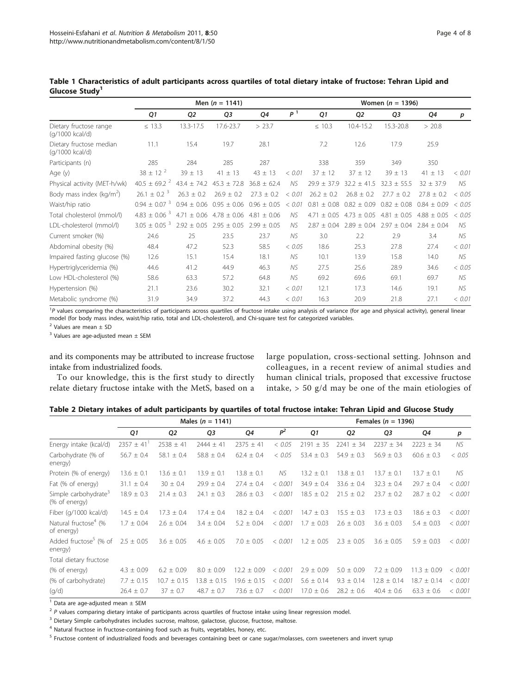|                                            | Men $(n = 1141)$             |                 |                 |                 |                | Women $(n = 1396)$ |                 |                 |                 |        |  |
|--------------------------------------------|------------------------------|-----------------|-----------------|-----------------|----------------|--------------------|-----------------|-----------------|-----------------|--------|--|
|                                            | Q1                           | Q <sub>2</sub>  | Q3              | Q4              | P <sup>1</sup> | Q1                 | Q <sub>2</sub>  | Q3              | Q4              | p      |  |
| Dietary fructose range<br>(g/1000 kcal/d)  | $\leq$ 13.3                  | 13.3-17.5       | 17.6-23.7       | > 23.7          |                | $\leq 10.3$        | 10.4-15.2       | 15.3-20.8       | > 20.8          |        |  |
| Dietary fructose median<br>(g/1000 kcal/d) | 11.1                         | 15.4            | 19.7            | 28.1            |                | 7.2                | 12.6            | 17.9            | 25.9            |        |  |
| Participants (n)                           | 285                          | 284             | 285             | 287             |                | 338                | 359             | 349             | 350             |        |  |
| Age $(y)$                                  | $38 \pm 12^{2}$              | $39 \pm 13$     | $41 \pm 13$     | $43 \pm 13$     | < 0.01         | $37 \pm 12$        | $37 \pm 12$     | $39 \pm 13$     | $41 \pm 13$     | < 0.01 |  |
| Physical activity (MET-h/wk)               | $40.5 \pm 69.2$ <sup>2</sup> | $43.4 \pm 74.2$ | $45.3 \pm 72.8$ | $36.8 \pm 62.4$ | NS             | $29.9 \pm 37.9$    | $32.2 \pm 41.5$ | $32.3 \pm 55.5$ | $32 \pm 37.9$   | NS.    |  |
| Body mass index (kg/m <sup>2</sup> )       | $26.1 \pm 0.2^{3}$           | $26.3 \pm 0.2$  | $26.9 \pm 0.2$  | $27.3 \pm 0.2$  | < 0.01         | $26.2 \pm 0.2$     | $26.8 \pm 0.2$  | $27.7 \pm 0.2$  | $27.8 \pm 0.2$  | < 0.05 |  |
| Waist/hip ratio                            | $0.94 \pm 0.07$ <sup>3</sup> | $0.94 \pm 0.06$ | $0.95 \pm 0.06$ | $0.96 \pm 0.05$ | < 0.01         | 0.81<br>±0.08      | $0.82 \pm 0.09$ | $0.82 \pm 0.08$ | $0.84 + 0.09$   | < 0.05 |  |
| Total cholesterol (mmol/l)                 | $4.83 \pm 0.06^{3}$          | $4.71 \pm 0.06$ | $4.78 \pm 0.06$ | $4.81 \pm 0.06$ | NS             | ± 0.05<br>4.71     | $4.73 \pm 0.05$ | $4.81 \pm 0.05$ | $4.88 \pm 0.05$ | < 0.05 |  |
| LDL-cholesterol (mmol/l)                   | $3.05 \pm 0.05$ <sup>3</sup> | $2.92 \pm 0.05$ | $2.95 \pm 0.05$ | $2.99 \pm 0.05$ | NS.            | $2.87 \pm 0.04$    | $2.89 \pm 0.04$ | $2.97 \pm 0.04$ | $2.84 \pm 0.04$ | NS.    |  |
| Current smoker (%)                         | 24.6                         | 25              | 23.5            | 23.7            | NS             | 3.0                | 2.2             | 2.9             | 3.4             | NS.    |  |
| Abdominal obesity (%)                      | 48.4                         | 47.2            | 52.3            | 58.5            | < 0.05         | 18.6               | 25.3            | 27.8            | 27.4            | < 0.01 |  |
| Impaired fasting glucose (%)               | 12.6                         | 15.1            | 15.4            | 18.1            | NS             | 10.1               | 13.9            | 15.8            | 14.0            | NS.    |  |
| Hypertriglyceridemia (%)                   | 44.6                         | 41.2            | 44.9            | 46.3            | NS             | 27.5               | 25.6            | 28.9            | 34.6            | < 0.05 |  |
| Low HDL-cholesterol (%)                    | 58.6                         | 63.3            | 57.2            | 64.8            | NS             | 69.2               | 69.6            | 69.1            | 69.7            | NS.    |  |
| Hypertension (%)                           | 21.1                         | 23.6            | 30.2            | 32.1            | < 0.01         | 12.1               | 17.3            | 14.6            | 19.1            | NS.    |  |
| Metabolic syndrome (%)                     | 31.9                         | 34.9            | 37.2            | 44.3            | < 0.01         | 16.3               | 20.9            | 21.8            | 27.1            | < 0.01 |  |

<span id="page-3-0"></span>

| Table 1 Characteristics of adult participants across quartiles of total dietary intake of fructose: Tehran Lipid and |  |  |  |  |  |
|----------------------------------------------------------------------------------------------------------------------|--|--|--|--|--|
| Glucose Study <sup>1</sup>                                                                                           |  |  |  |  |  |

<sup>1</sup>P values comparing the characteristics of participants across quartiles of fructose intake using analysis of variance (for age and physical activity), general linear model (for body mass index, waist/hip ratio, total and LDL-cholesterol), and Chi-square test for categorized variables.

 $2$  Values are mean  $\pm$  SD

 $3$  Values are age-adjusted mean  $\pm$  SEM

and its components may be attributed to increase fructose intake from industrialized foods.

To our knowledge, this is the first study to directly relate dietary fructose intake with the MetS, based on a

large population, cross-sectional setting. Johnson and colleagues, in a recent review of animal studies and human clinical trials, proposed that excessive fructose intake, > 50 g/d may be one of the main etiologies of

|  |  |  |  | Table 2 Dietary intakes of adult participants by quartiles of total fructose intake: Tehran Lipid and Glucose Study |
|--|--|--|--|---------------------------------------------------------------------------------------------------------------------|
|--|--|--|--|---------------------------------------------------------------------------------------------------------------------|

|                                                   |                            |                 | Males ( $n = 1141$ ) |                 | Females ( $n = 1396$ ) |                |                |                 |                 |         |
|---------------------------------------------------|----------------------------|-----------------|----------------------|-----------------|------------------------|----------------|----------------|-----------------|-----------------|---------|
|                                                   | Q1                         | Q <sub>2</sub>  | Q <sub>3</sub>       | Q4              | P <sup>2</sup>         | Q1             | Q2             | Q3              | Q4              | p       |
| Energy intake (kcal/d)                            | $2357 \pm 41$ <sup>1</sup> | $2538 \pm 41$   | $2444 \pm 41$        | $2375 \pm 41$   | < 0.05                 | $2191 \pm 35$  | $2241 \pm 34$  | $2237 \pm 34$   | $2223 \pm 34$   | NS.     |
| Carbohydrate (% of<br>energy)                     | $56.7 \pm 0.4$             | $58.1 \pm 0.4$  | $58.8 \pm 0.4$       | $62.4 \pm 0.4$  | < 0.05                 | $53.4 \pm 0.3$ | $54.9 \pm 0.3$ | $56.9 \pm 0.3$  | $60.6 \pm 0.3$  | < 0.05  |
| Protein (% of energy)                             | $13.6 \pm 0.1$             | $13.6 \pm 0.1$  | $13.9 \pm 0.1$       | $13.8 \pm 0.1$  | NS.                    | $13.2 \pm 0.1$ | $13.8 \pm 0.1$ | $13.7 \pm 0.1$  | $13.7 \pm 0.1$  | NS.     |
| Fat (% of energy)                                 | $31.1 \pm 0.4$             | $30 \pm 0.4$    | $29.9 \pm 0.4$       | $27.4 \pm 0.4$  | < 0.001                | $34.9 \pm 0.4$ | $33.6 \pm 0.4$ | $32.3 \pm 0.4$  | $29.7 \pm 0.4$  | < 0.001 |
| Simple carbohydrate <sup>3</sup><br>(% of energy) | $18.9 \pm 0.3$             | $21.4 \pm 0.3$  | $24.1 \pm 0.3$       | $28.6 \pm 0.3$  | < 0.001                | $18.5 \pm 0.2$ | $21.5 + 0.2$   | $23.7 + 0.2$    | $28.7 + 0.2$    | < 0.001 |
| Fiber (g/1000 kcal/d)                             | $14.5 \pm 0.4$             | $17.3 \pm 0.4$  | $17.4 \pm 0.4$       | $18.2 \pm 0.4$  | < 0.001                | $14.7 \pm 0.3$ | $15.5 \pm 0.3$ | $17.3 \pm 0.3$  | $18.6 \pm 0.3$  | < 0.001 |
| Natural fructose <sup>4</sup> (%<br>of energy)    | $1.7 \pm 0.04$             | $2.6 \pm 0.04$  | $3.4 \pm 0.04$       | $5.2 \pm 0.04$  | < 0.001                | $1.7 \pm 0.03$ | $2.6 \pm 0.03$ | $3.6 \pm 0.03$  | $5.4 \pm 0.03$  | < 0.001 |
| Added fructose <sup>5</sup> (% of<br>energy)      | $2.5 \pm 0.05$             | $3.6 \pm 0.05$  | $4.6 \pm 0.05$       | $7.0 \pm 0.05$  | < 0.001                | $1.2 \pm 0.05$ | $2.3 \pm 0.05$ | $3.6 \pm 0.05$  | $5.9 \pm 0.03$  | < 0.001 |
| Total dietary fructose                            |                            |                 |                      |                 |                        |                |                |                 |                 |         |
| (% of energy)                                     | $4.3 \pm 0.09$             | $6.2 \pm 0.09$  | $8.0 \pm 0.09$       | $12.2 \pm 0.09$ | < 0.001                | $2.9 \pm 0.09$ | $5.0 \pm 0.09$ | $7.2 \pm 0.09$  | $11.3 \pm 0.09$ | < 0.001 |
| (% of carbohydrate)                               | $7.7 \pm 0.15$             | $10.7 \pm 0.15$ | $13.8 \pm 0.15$      | $19.6 \pm 0.15$ | < 0.001                | $5.6 \pm 0.14$ | $9.3 \pm 0.14$ | $12.8 \pm 0.14$ | $18.7 \pm 0.14$ | < 0.001 |
| (q/d)                                             | $26.4 \pm 0.7$             | $37 \pm 0.7$    | $48.7 \pm 0.7$       | $73.6 \pm 0.7$  | < 0.001                | $17.0 \pm 0.6$ | $28.2 \pm 0.6$ | $40.4 \pm 0.6$  | $63.3 \pm 0.6$  | < 0.001 |

 $\overline{1}$  Data are age-adjusted mean  $\pm$  SEM

 $2$  P values comparing dietary intake of participants across quartiles of fructose intake using linear regression model.

<sup>3</sup> Dietary Simple carbohydrates includes sucrose, maltose, galactose, glucose, fructose, maltose.

<sup>4</sup> Natural fructose in fructose-containing food such as fruits, vegetables, honey, etc.

<sup>5</sup> Fructose content of industrialized foods and beverages containing beet or cane sugar/molasses, corn sweeteners and invert syrup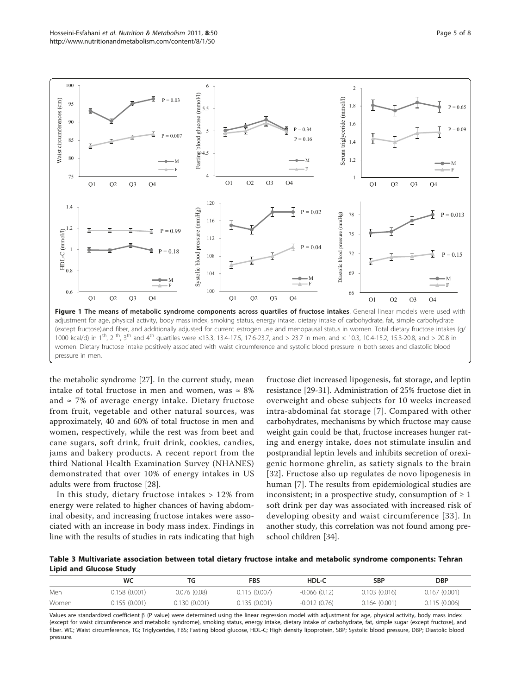<span id="page-4-0"></span>

the metabolic syndrome [[27\]](#page-7-0). In the current study, mean intake of total fructose in men and women, was  $\approx 8\%$ and  $\approx$  7% of average energy intake. Dietary fructose from fruit, vegetable and other natural sources, was approximately, 40 and 60% of total fructose in men and women, respectively, while the rest was from beet and cane sugars, soft drink, fruit drink, cookies, candies, jams and bakery products. A recent report from the third National Health Examination Survey (NHANES) demonstrated that over 10% of energy intakes in US adults were from fructose [[28](#page-7-0)].

In this study, dietary fructose intakes > 12% from energy were related to higher chances of having abdominal obesity, and increasing fructose intakes were associated with an increase in body mass index. Findings in line with the results of studies in rats indicating that high

fructose diet increased lipogenesis, fat storage, and leptin resistance [[29](#page-7-0)-[31\]](#page-7-0). Administration of 25% fructose diet in overweight and obese subjects for 10 weeks increased intra-abdominal fat storage [[7\]](#page-6-0). Compared with other carbohydrates, mechanisms by which fructose may cause weight gain could be that, fructose increases hunger rating and energy intake, does not stimulate insulin and postprandial leptin levels and inhibits secretion of orexigenic hormone ghrelin, as satiety signals to the brain [[32](#page-7-0)]. Fructose also up regulates de novo lipogenesis in human [[7\]](#page-6-0). The results from epidemiological studies are inconsistent; in a prospective study, consumption of  $\geq 1$ soft drink per day was associated with increased risk of developing obesity and waist circumference [[33\]](#page-7-0). In another study, this correlation was not found among preschool children [[34\]](#page-7-0).

Table 3 Multivariate association between total dietary fructose intake and metabolic syndrome components: Tehran Lipid and Glucose Study

|       | WC            | TG           | FBS          | HDL-C          | SBP          | <b>DBP</b>   |
|-------|---------------|--------------|--------------|----------------|--------------|--------------|
| Men   | 0.158 (0.001) | 0.076(0.08)  | 0.115(0.007) | $-0.066(0.12)$ | 0.103(0.016) | 0.167(0.001) |
| Women | 0.155(0.001)  | 0.130(0.001) | 0.135(0.001) | $-0.012(0.76)$ | 0.164(0.001) | 0.115(0.006) |

Values are standardized coefficient  $\beta$  (P value) were determined using the linear regression model with adjustment for age, physical activity, body mass index (except for waist circumference and metabolic syndrome), smoking status, energy intake, dietary intake of carbohydrate, fat, simple sugar (except fructose), and fiber. WC; Waist circumference, TG; Triglycerides, FBS; Fasting blood glucose, HDL-C; High density lipoprotein, SBP; Systolic blood pressure, DBP; Diastolic blood pressure.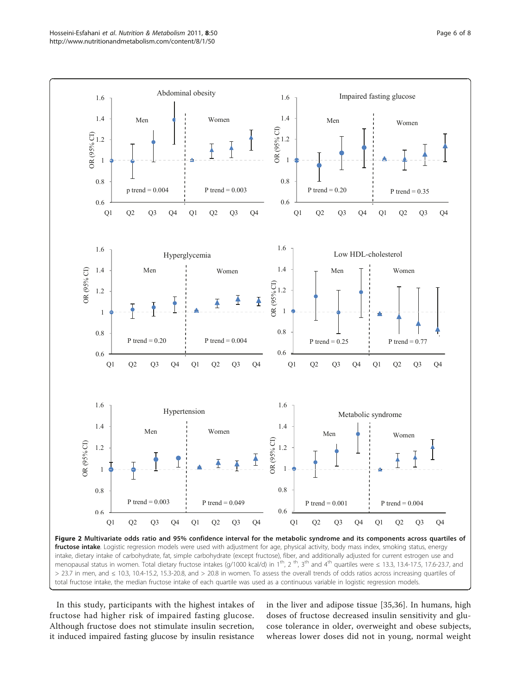<span id="page-5-0"></span>

In this study, participants with the highest intakes of fructose had higher risk of impaired fasting glucose. Although fructose does not stimulate insulin secretion, it induced impaired fasting glucose by insulin resistance in the liver and adipose tissue [\[35](#page-7-0),[36\]](#page-7-0). In humans, high doses of fructose decreased insulin sensitivity and glucose tolerance in older, overweight and obese subjects, whereas lower doses did not in young, normal weight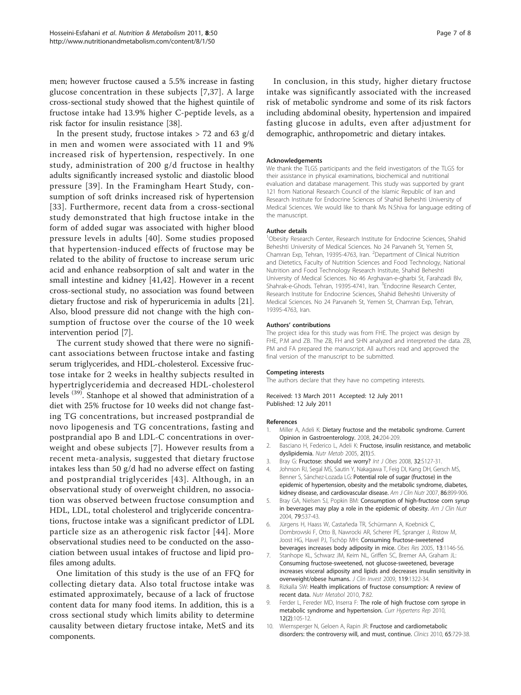<span id="page-6-0"></span>men; however fructose caused a 5.5% increase in fasting glucose concentration in these subjects [7,[37](#page-7-0)]. A large cross-sectional study showed that the highest quintile of fructose intake had 13.9% higher C-peptide levels, as a risk factor for insulin resistance [\[38](#page-7-0)].

In the present study, fructose intakes  $> 72$  and 63 g/d in men and women were associated with 11 and 9% increased risk of hypertension, respectively. In one study, administration of 200 g/d fructose in healthy adults significantly increased systolic and diastolic blood pressure [[39\]](#page-7-0). In the Framingham Heart Study, consumption of soft drinks increased risk of hypertension [[33\]](#page-7-0). Furthermore, recent data from a cross-sectional study demonstrated that high fructose intake in the form of added sugar was associated with higher blood pressure levels in adults [[40](#page-7-0)]. Some studies proposed that hypertension-induced effects of fructose may be related to the ability of fructose to increase serum uric acid and enhance reabsorption of salt and water in the small intestine and kidney [[41,42\]](#page-7-0). However in a recent cross-sectional study, no association was found between dietary fructose and risk of hyperuricemia in adults [\[21](#page-7-0)]. Also, blood pressure did not change with the high consumption of fructose over the course of the 10 week intervention period [7].

The current study showed that there were no significant associations between fructose intake and fasting serum triglycerides, and HDL-cholesterol. Excessive fructose intake for 2 weeks in healthy subjects resulted in hypertriglyceridemia and decreased HDL-cholesterol levels (39). Stanhope et al showed that administration of a diet with 25% fructose for 10 weeks did not change fasting TG concentrations, but increased postprandial de novo lipogenesis and TG concentrations, fasting and postprandial apo B and LDL-C concentrations in overweight and obese subjects [7]. However results from a recent meta-analysis, suggested that dietary fructose intakes less than 50 g/d had no adverse effect on fasting and postprandial triglycerides [[43\]](#page-7-0). Although, in an observational study of overweight children, no association was observed between fructose consumption and HDL, LDL, total cholesterol and triglyceride concentrations, fructose intake was a significant predictor of LDL particle size as an atherogenic risk factor [[44\]](#page-7-0). More observational studies need to be conducted on the association between usual intakes of fructose and lipid profiles among adults.

One limitation of this study is the use of an FFQ for collecting dietary data. Also total fructose intake was estimated approximately, because of a lack of fructose content data for many food items. In addition, this is a cross sectional study which limits ability to determine causality between dietary fructose intake, MetS and its components.

In conclusion, in this study, higher dietary fructose intake was significantly associated with the increased risk of metabolic syndrome and some of its risk factors including abdominal obesity, hypertension and impaired fasting glucose in adults, even after adjustment for demographic, anthropometric and dietary intakes.

#### Acknowledgements

We thank the TLGS participants and the field investigators of the TLGS for their assistance in physical examinations, biochemical and nutritional evaluation and database management. This study was supported by grant 121 from National Research Council of the Islamic Republic of Iran and Research Institute for Endocrine Sciences of Shahid Beheshti University of Medical Sciences. We would like to thank Ms N.Shiva for language editing of the manuscript.

#### Author details

<sup>1</sup>Obesity Research Center, Research Institute for Endocrine Sciences, Shahid Beheshti University of Medical Sciences. No 24 Parvaneh St, Yemen St, Chamran Exp, Tehran, 19395-4763, Iran. <sup>2</sup>Department of Clinical Nutrition and Dietetics, Faculty of Nutrition Sciences and Food Technology, National Nutrition and Food Technology Research Institute, Shahid Beheshti University of Medical Sciences. No 46 Arghavan-e-gharbi St, Farahzadi Blv, Shahrak-e-Ghods. Tehran, 19395-4741, Iran. <sup>3</sup>Endocrine Research Center, Research Institute for Endocrine Sciences, Shahid Beheshti University of Medical Sciences. No 24 Parvaneh St, Yemen St, Chamran Exp, Tehran, 19395-4763, Iran.

#### Authors' contributions

The project idea for this study was from FHE. The project was design by FHE, P.M and ZB. The ZB, FH and SHN analyzed and interpreted the data. ZB, PM and FA prepared the manuscript. All authors read and approved the final version of the manuscript to be submitted.

#### Competing interests

The authors declare that they have no competing interests.

Received: 13 March 2011 Accepted: 12 July 2011 Published: 12 July 2011

#### References

- 1. Miller A, Adeli K: Dietary fructose and the metabolic syndrome. Current Opinion in Gastroenterology. 2008, 24:204-209.
- 2. Basciano H, Federico L, Adeli K: Fructose, insulin resistance, and metabolic dyslipidemia. Nutr Metab 2005, 2(1):5.
- 3. Bray G: Fructose: should we worry? Int J Obes 2008, 32:S127-31.
- 4. Johnson RJ, Segal MS, Sautin Y, Nakagawa T, Feig DI, Kang DH, Gersch MS, Benner S, Sánchez-Lozada LG: [Potential role of sugar \(fructose\) in the](http://www.ncbi.nlm.nih.gov/pubmed/17921363?dopt=Abstract) [epidemic of hypertension, obesity and the metabolic syndrome, diabetes,](http://www.ncbi.nlm.nih.gov/pubmed/17921363?dopt=Abstract) [kidney disease, and cardiovascular disease.](http://www.ncbi.nlm.nih.gov/pubmed/17921363?dopt=Abstract) Am J Clin Nutr 2007, 86:899-906.
- 5. Bray GA, Nielsen SJ, Popkin BM: [Consumption of high-fructose corn syrup](http://www.ncbi.nlm.nih.gov/pubmed/15051594?dopt=Abstract) [in beverages may play a role in the epidemic of obesity.](http://www.ncbi.nlm.nih.gov/pubmed/15051594?dopt=Abstract) Am J Clin Nutr 2004, 79:537-43.
- 6. Jürgens H, Haass W, Castañeda TR, Schürmann A, Koebnick C, Dombrowski F, Otto B, Nawrocki AR, Scherer PE, Spranger J, Ristow M, Joost HG, Havel PJ, Tschöp MH: [Consuming fructose-sweetened](http://www.ncbi.nlm.nih.gov/pubmed/16076983?dopt=Abstract) [beverages increases body adiposity in mice.](http://www.ncbi.nlm.nih.gov/pubmed/16076983?dopt=Abstract) Obes Res 2005, 13:1146-56.
- 7. Stanhope KL, Schwarz JM, Keim NL, Griffen SC, Bremer AA, Graham JL: [Consuming fructose-sweetened, not glucose-sweetened, beverage](http://www.ncbi.nlm.nih.gov/pubmed/19381015?dopt=Abstract) [increases visceral adiposity and lipids and decreases insulin sensitivity in](http://www.ncbi.nlm.nih.gov/pubmed/19381015?dopt=Abstract) [overweight/obese humans.](http://www.ncbi.nlm.nih.gov/pubmed/19381015?dopt=Abstract) J Clin Invest 2009, 119:1322-34.
- 8. Rizkalla SW: Health implications of fructose consumption: A review of recent data. Nutr Metabol 2010, 7:82.
- 9. Ferder L, Fereder MD, Inserra F: [The role of high fructose corn syrope in](http://www.ncbi.nlm.nih.gov/pubmed/20424937?dopt=Abstract) [metabolic syndrome and hypertension.](http://www.ncbi.nlm.nih.gov/pubmed/20424937?dopt=Abstract) Curr Hypertens Rep 2010, 12(2):105-12.
- 10. Wiernsperger N, Geloen A, Rapin JR: [Fructose and cardiometabolic](http://www.ncbi.nlm.nih.gov/pubmed/20668632?dopt=Abstract) [disorders: the controversy will, and must, continue.](http://www.ncbi.nlm.nih.gov/pubmed/20668632?dopt=Abstract) Clinics 2010, 65:729-38.